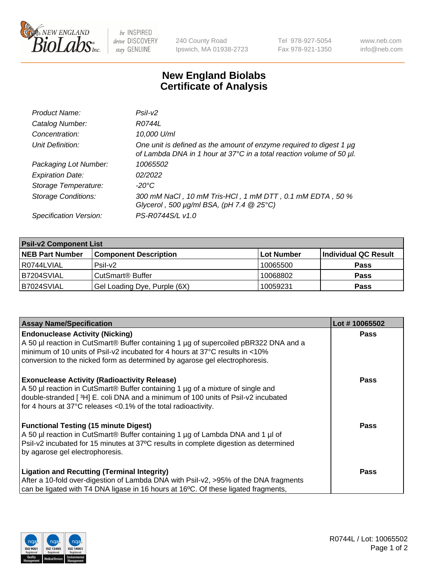

 $be$  INSPIRED drive DISCOVERY stay GENUINE

240 County Road Ipswich, MA 01938-2723 Tel 978-927-5054 Fax 978-921-1350 www.neb.com info@neb.com

## **New England Biolabs Certificate of Analysis**

| Product Name:              | Psi2                                                                                                                                        |
|----------------------------|---------------------------------------------------------------------------------------------------------------------------------------------|
| Catalog Number:            | R0744L                                                                                                                                      |
| Concentration:             | 10,000 U/ml                                                                                                                                 |
| Unit Definition:           | One unit is defined as the amount of enzyme required to digest 1 µg<br>of Lambda DNA in 1 hour at 37°C in a total reaction volume of 50 µl. |
| Packaging Lot Number:      | 10065502                                                                                                                                    |
| <b>Expiration Date:</b>    | 02/2022                                                                                                                                     |
| Storage Temperature:       | $-20^{\circ}$ C                                                                                                                             |
| <b>Storage Conditions:</b> | 300 mM NaCl, 10 mM Tris-HCl, 1 mM DTT, 0.1 mM EDTA, 50 %<br>Glycerol, 500 $\mu$ g/ml BSA, (pH 7.4 $@25°C$ )                                 |
| Specification Version:     | PS-R0744S/L v1.0                                                                                                                            |

| <b>Psil-v2 Component List</b> |                              |            |                      |  |  |
|-------------------------------|------------------------------|------------|----------------------|--|--|
| <b>NEB Part Number</b>        | <b>Component Description</b> | Lot Number | Individual QC Result |  |  |
| l R0744LVIAL                  | $P$ sil-v $2$                | 10065500   | <b>Pass</b>          |  |  |
| B7204SVIAL                    | CutSmart <sup>®</sup> Buffer | 10068802   | <b>Pass</b>          |  |  |
| B7024SVIAL                    | Gel Loading Dye, Purple (6X) | 10059231   | <b>Pass</b>          |  |  |

| <b>Assay Name/Specification</b>                                                                                                                             | Lot #10065502 |
|-------------------------------------------------------------------------------------------------------------------------------------------------------------|---------------|
| <b>Endonuclease Activity (Nicking)</b>                                                                                                                      | <b>Pass</b>   |
| A 50 µl reaction in CutSmart® Buffer containing 1 µg of supercoiled pBR322 DNA and a                                                                        |               |
| minimum of 10 units of Psil-v2 incubated for 4 hours at 37°C results in <10%<br>conversion to the nicked form as determined by agarose gel electrophoresis. |               |
|                                                                                                                                                             |               |
| <b>Exonuclease Activity (Radioactivity Release)</b>                                                                                                         | Pass          |
| A 50 µl reaction in CutSmart® Buffer containing 1 µg of a mixture of single and                                                                             |               |
| double-stranded [3H] E. coli DNA and a minimum of 100 units of Psil-v2 incubated                                                                            |               |
| for 4 hours at 37°C releases <0.1% of the total radioactivity.                                                                                              |               |
| <b>Functional Testing (15 minute Digest)</b>                                                                                                                | Pass          |
| A 50 µl reaction in CutSmart® Buffer containing 1 µg of Lambda DNA and 1 µl of                                                                              |               |
| Psil-v2 incubated for 15 minutes at 37°C results in complete digestion as determined                                                                        |               |
| by agarose gel electrophoresis.                                                                                                                             |               |
|                                                                                                                                                             |               |
| <b>Ligation and Recutting (Terminal Integrity)</b>                                                                                                          | <b>Pass</b>   |
| After a 10-fold over-digestion of Lambda DNA with Psil-v2, >95% of the DNA fragments                                                                        |               |
| can be ligated with T4 DNA ligase in 16 hours at 16 $\degree$ C. Of these ligated fragments,                                                                |               |